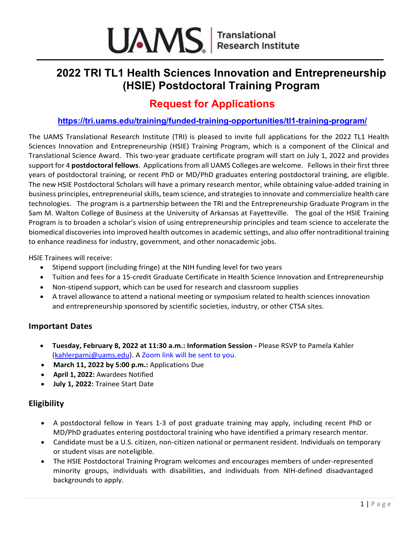

# **2022 TRI TL1 Health Sciences Innovation and Entrepreneurship (HSIE) Postdoctoral Training Program**

## **Request for Applications**

## **<https://tri.uams.edu/training/funded-training-opportunities/tl1-training-program/>**

The UAMS Translational Research Institute (TRI) is pleased to invite full applications for the 2022 TL1 Health Sciences Innovation and Entrepreneurship (HSIE) Training Program, which is a component of the Clinical and Translational Science Award. This two-year graduate certificate program will start on July 1, 2022 and provides support for 4 **postdoctoral fellows**. Applications from all UAMS Colleges are welcome. Fellows in their first three years of postdoctoral training, or recent PhD or MD/PhD graduates entering postdoctoral training, are eligible. The new HSIE Postdoctoral Scholars will have a primary research mentor, while obtaining value-added training in business principles, entrepreneurial skills, team science, and strategiesto innovate and commercialize health care technologies. The program is a partnership between the TRI and the Entrepreneurship Graduate Program in the Sam M. Walton College of Business at the University of Arkansas at Fayetteville. The goal of the HSIE Training Program is to broaden a scholar's vision of using entrepreneurship principles and team science to accelerate the biomedical discoveries into improved health outcomesin academic settings, and also offer nontraditional training to enhance readiness for industry, government, and other nonacademic jobs.

HSIE Trainees will receive:

- Stipend support (including fringe) at the NIH funding level for two years
- Tuition and fees for a 15-credit Graduate Certificate in Health Science Innovation and Entrepreneurship
- Non-stipend support, which can be used for research and classroom supplies
- A travel allowance to attend a national meeting or symposium related to health sciences innovation and entrepreneurship sponsored by scientific societies, industry, or other CTSA sites.

#### **Important Dates**

- **Tuesday, February 8, 2022 at 11:30 a.m.: Information Session -** Please RSVP to Pamela Kahler [\(kahlerpamj@uams.edu\)](mailto:kahlerpamj@uams.edu). A Zoom link will be sent to you.
- **March 11, 2022 by 5:00 p.m.:** Applications Due
- **April 1, 2022:** Awardees Notified
- **July 1, 2022:** Trainee Start Date

## **Eligibility**

- A postdoctoral fellow in Years 1-3 of post graduate training may apply, including recent PhD or MD/PhD graduates entering postdoctoral training who have identified a primary research mentor.
- Candidate must be a U.S. citizen, non-citizen national or permanent resident. Individuals on temporary or student visas are noteligible.
- The HSIE Postdoctoral Training Program welcomes and encourages members of under-represented minority groups, individuals with disabilities, and individuals from NIH-defined disadvantaged backgrounds to apply.